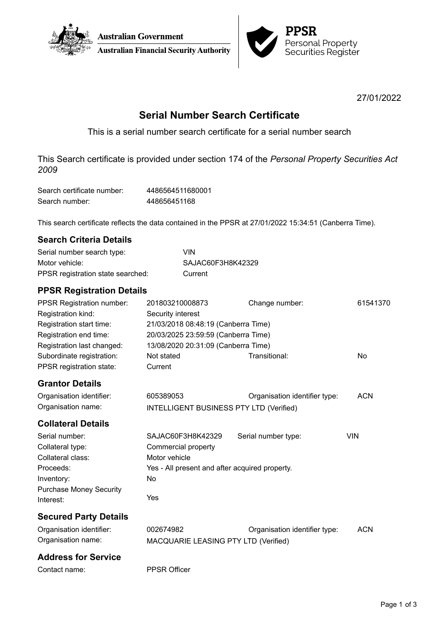



27/01/2022

# **Serial Number Search Certificate**

This is a serial number search certificate for a serial number search

This Search certificate is provided under section 174 of the *Personal Property Securities Act 2009*

| Search certificate number: | 4486564511680001 |
|----------------------------|------------------|
| Search number:             | 448656451168     |

This search certificate reflects the data contained in the PPSR at 27/01/2022 15:34:51 (Canberra Time).

| <b>Search Criteria Details</b>    |                                                |                               |            |  |  |
|-----------------------------------|------------------------------------------------|-------------------------------|------------|--|--|
| Serial number search type:        | <b>VIN</b>                                     |                               |            |  |  |
| Motor vehicle:                    | SAJAC60F3H8K42329                              |                               |            |  |  |
| PPSR registration state searched: | Current                                        |                               |            |  |  |
| <b>PPSR Registration Details</b>  |                                                |                               |            |  |  |
| <b>PPSR Registration number:</b>  | 201803210008873                                | Change number:                | 61541370   |  |  |
| Registration kind:                | Security interest                              |                               |            |  |  |
| Registration start time:          | 21/03/2018 08:48:19 (Canberra Time)            |                               |            |  |  |
| Registration end time:            | 20/03/2025 23:59:59 (Canberra Time)            |                               |            |  |  |
| Registration last changed:        | 13/08/2020 20:31:09 (Canberra Time)            |                               |            |  |  |
| Subordinate registration:         | Not stated                                     | Transitional:                 | No         |  |  |
| PPSR registration state:          | Current                                        |                               |            |  |  |
| <b>Grantor Details</b>            |                                                |                               |            |  |  |
| Organisation identifier:          | 605389053                                      | Organisation identifier type: | <b>ACN</b> |  |  |
| Organisation name:                | <b>INTELLIGENT BUSINESS PTY LTD (Verified)</b> |                               |            |  |  |
| <b>Collateral Details</b>         |                                                |                               |            |  |  |
| Serial number:                    | SAJAC60F3H8K42329                              | Serial number type:           | <b>VIN</b> |  |  |
| Collateral type:                  | Commercial property                            |                               |            |  |  |
| Collateral class:                 | Motor vehicle                                  |                               |            |  |  |
| Proceeds:                         | Yes - All present and after acquired property. |                               |            |  |  |
| Inventory:                        | No                                             |                               |            |  |  |
| <b>Purchase Money Security</b>    |                                                |                               |            |  |  |
| Interest:                         | Yes                                            |                               |            |  |  |
| <b>Secured Party Details</b>      |                                                |                               |            |  |  |
| Organisation identifier:          | 002674982                                      | Organisation identifier type: | <b>ACN</b> |  |  |
| Organisation name:                | MACQUARIE LEASING PTY LTD (Verified)           |                               |            |  |  |
| <b>Address for Service</b>        |                                                |                               |            |  |  |
|                                   |                                                |                               |            |  |  |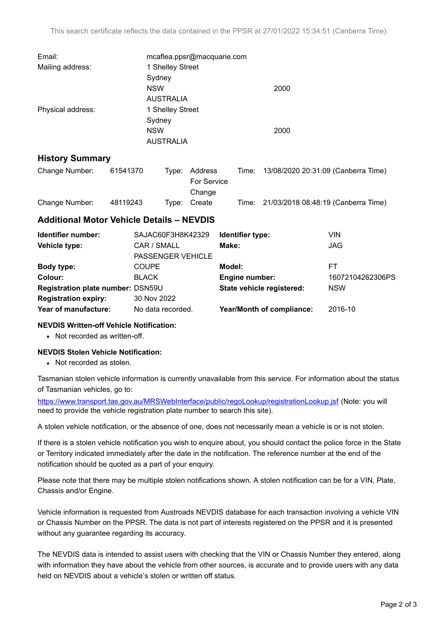| Email:            | mcaflea.ppsr@macquarie.com |      |  |  |
|-------------------|----------------------------|------|--|--|
| Mailing address:  | 1 Shelley Street           |      |  |  |
|                   | Sydney                     |      |  |  |
|                   | <b>NSW</b>                 | 2000 |  |  |
|                   | <b>AUSTRALIA</b>           |      |  |  |
| Physical address: | 1 Shelley Street           |      |  |  |
|                   | Sydney                     |      |  |  |
|                   | <b>NSW</b>                 | 2000 |  |  |
|                   | <b>AUSTRALIA</b>           |      |  |  |

## **History Summary**

| Change Number: | 61541370 | Type: Address | Time: | 13/08/2020 20:31:09 (Canberra Time)       |
|----------------|----------|---------------|-------|-------------------------------------------|
|                |          | For Service   |       |                                           |
|                |          | Change        |       |                                           |
| Change Number: | 48119243 | Type: Create  |       | Time: 21/03/2018 08:48:19 (Canberra Time) |

# **Additional Motor Vehicle Details – NEVDIS**

| Identifier number:                | SAJAC60F3H8K42329        | Identifier type:                 | VIN              |
|-----------------------------------|--------------------------|----------------------------------|------------------|
| Vehicle type:                     | CAR / SMALL              | Make:                            | <b>JAG</b>       |
|                                   | <b>PASSENGER VEHICLE</b> |                                  |                  |
| Body type:                        | <b>COUPE</b>             | Model:                           | FT               |
| Colour:                           | <b>BLACK</b>             | Engine number:                   | 16072104262306PS |
| Registration plate number: DSN59U |                          | State vehicle registered:        | <b>NSW</b>       |
| <b>Registration expiry:</b>       | 30 Nov 2022              |                                  |                  |
| Year of manufacture:              | No data recorded.        | <b>Year/Month of compliance:</b> | 2016-10          |

## **NEVDIS Written-off Vehicle Notification:**

• Not recorded as written-off.

## **NEVDIS Stolen Vehicle Notification:**

• Not recorded as stolen.

Tasmanian stolen vehicle information is currently unavailable from this service. For information about the status of Tasmanian vehicles, go to:

<https://www.transport.tas.gov.au/MRSWebInterface/public/regoLookup/registrationLookup.jsf> (Note: you will need to provide the vehicle registration plate number to search this site).

A stolen vehicle notification, or the absence of one, does not necessarily mean a vehicle is or is not stolen.

If there is a stolen vehicle notification you wish to enquire about, you should contact the police force in the State or Territory indicated immediately after the date in the notification. The reference number at the end of the notification should be quoted as a part of your enquiry.

Please note that there may be multiple stolen notifications shown. A stolen notification can be for a VIN, Plate, Chassis and/or Engine.

Vehicle information is requested from Austroads NEVDIS database for each transaction involving a vehicle VIN or Chassis Number on the PPSR. The data is not part of interests registered on the PPSR and it is presented without any guarantee regarding its accuracy.

The NEVDIS data is intended to assist users with checking that the VIN or Chassis Number they entered, along with information they have about the vehicle from other sources, is accurate and to provide users with any data held on NEVDIS about a vehicle's stolen or written off status.